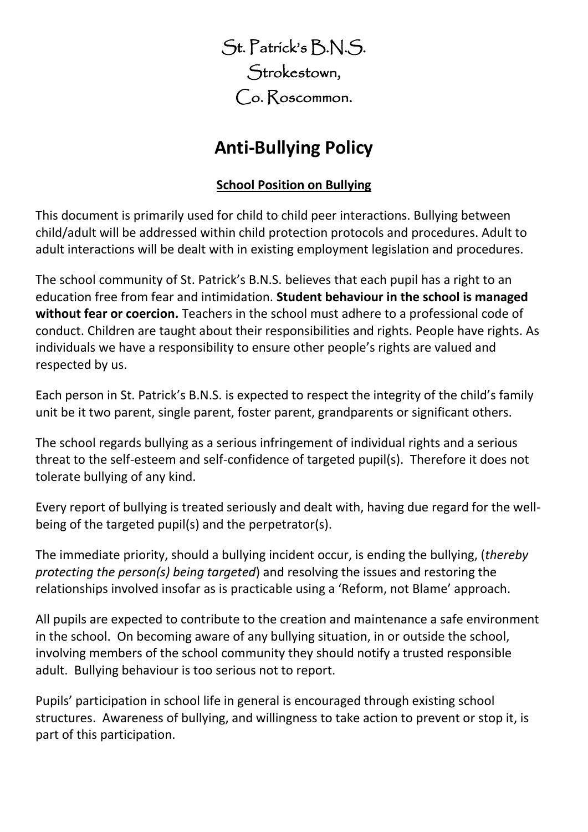St. Patrick's B.N.S. Strokestown, Co. Roscommon.

# **Anti-Bullying Policy**

## **School Position on Bullying**

This document is primarily used for child to child peer interactions. Bullying between child/adult will be addressed within child protection protocols and procedures. Adult to adult interactions will be dealt with in existing employment legislation and procedures.

The school community of St. Patrick's B.N.S. believes that each pupil has a right to an education free from fear and intimidation. **Student behaviour in the school is managed without fear or coercion.** Teachers in the school must adhere to a professional code of conduct. Children are taught about their responsibilities and rights. People have rights. As individuals we have a responsibility to ensure other people's rights are valued and respected by us.

Each person in St. Patrick's B.N.S. is expected to respect the integrity of the child's family unit be it two parent, single parent, foster parent, grandparents or significant others.

The school regards bullying as a serious infringement of individual rights and a serious threat to the self-esteem and self-confidence of targeted pupil(s). Therefore it does not tolerate bullying of any kind.

Every report of bullying is treated seriously and dealt with, having due regard for the wellbeing of the targeted pupil(s) and the perpetrator(s).

The immediate priority, should a bullying incident occur, is ending the bullying, (*thereby protecting the person(s) being targeted*) and resolving the issues and restoring the relationships involved insofar as is practicable using a 'Reform, not Blame' approach.

All pupils are expected to contribute to the creation and maintenance a safe environment in the school. On becoming aware of any bullying situation, in or outside the school, involving members of the school community they should notify a trusted responsible adult. Bullying behaviour is too serious not to report.

Pupils' participation in school life in general is encouraged through existing school structures. Awareness of bullying, and willingness to take action to prevent or stop it, is part of this participation.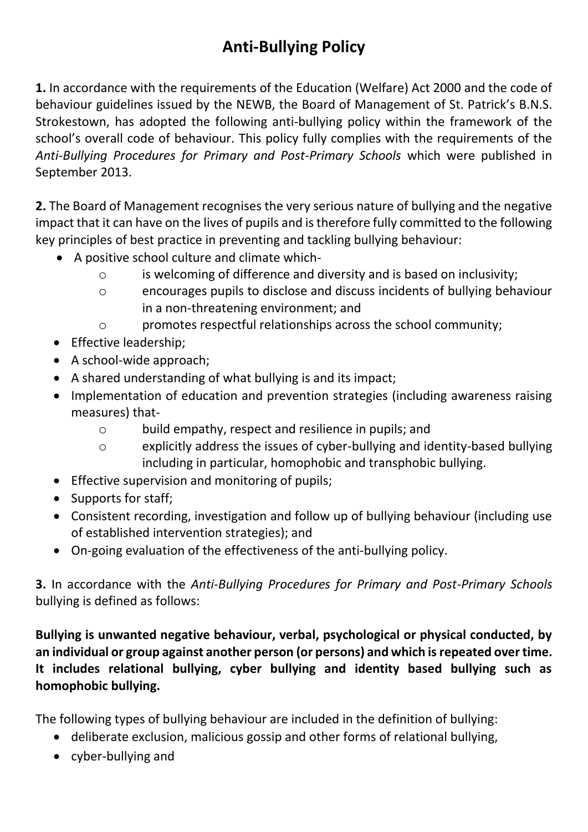# **Anti-Bullying Policy**

**1.** In accordance with the requirements of the Education (Welfare) Act 2000 and the code of behaviour guidelines issued by the NEWB, the Board of Management of St. Patrick's B.N.S. Strokestown, has adopted the following anti-bullying policy within the framework of the school's overall code of behaviour. This policy fully complies with the requirements of the *Anti-Bullying Procedures for Primary and Post-Primary Schools* which were published in September 2013.

**2.** The Board of Management recognises the very serious nature of bullying and the negative impact that it can have on the lives of pupils and is therefore fully committed to the following key principles of best practice in preventing and tackling bullying behaviour:

- A positive school culture and climate which
	- o is welcoming of difference and diversity and is based on inclusivity;
	- o encourages pupils to disclose and discuss incidents of bullying behaviour in a non-threatening environment; and
	- o promotes respectful relationships across the school community;
- Effective leadership;
- A school-wide approach;
- A shared understanding of what bullying is and its impact;
- Implementation of education and prevention strategies (including awareness raising measures) that
	- o build empathy, respect and resilience in pupils; and
	- o explicitly address the issues of cyber-bullying and identity-based bullying including in particular, homophobic and transphobic bullying.
- Effective supervision and monitoring of pupils;
- Supports for staff;
- Consistent recording, investigation and follow up of bullying behaviour (including use of established intervention strategies); and
- On-going evaluation of the effectiveness of the anti-bullying policy.

**3.** In accordance with the *Anti-Bullying Procedures for Primary and Post-Primary Schools*  bullying is defined as follows:

**Bullying is unwanted negative behaviour, verbal, psychological or physical conducted, by an individual or group against another person (or persons) and which isrepeated over time. It includes relational bullying, cyber bullying and identity based bullying such as homophobic bullying.**

The following types of bullying behaviour are included in the definition of bullying:

- deliberate exclusion, malicious gossip and other forms of relational bullying,
- cyber-bullying and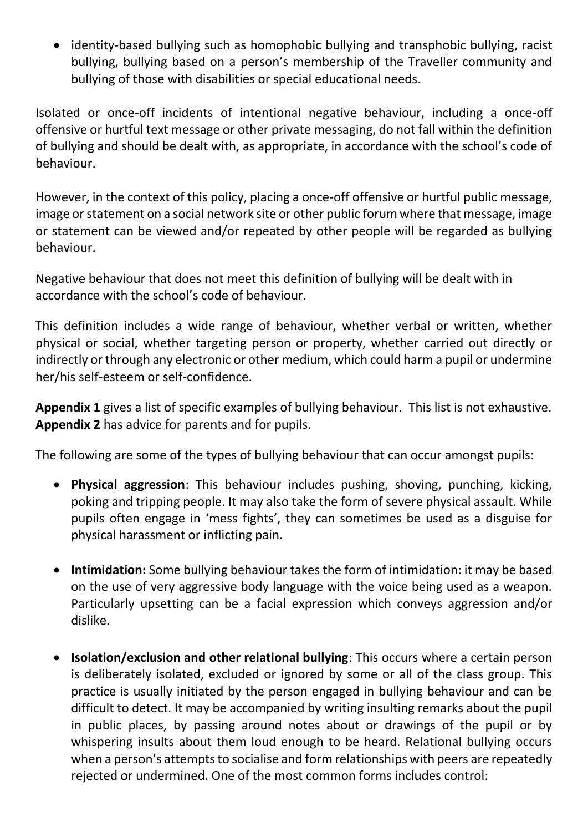• identity-based bullying such as homophobic bullying and transphobic bullying, racist bullying, bullying based on a person's membership of the Traveller community and bullying of those with disabilities or special educational needs.

Isolated or once-off incidents of intentional negative behaviour, including a once-off offensive or hurtful text message or other private messaging, do not fall within the definition of bullying and should be dealt with, as appropriate, in accordance with the school's code of behaviour.

However, in the context of this policy, placing a once-off offensive or hurtful public message, image or statement on a social network site or other public forum where that message, image or statement can be viewed and/or repeated by other people will be regarded as bullying behaviour.

Negative behaviour that does not meet this definition of bullying will be dealt with in accordance with the school's code of behaviour.

This definition includes a wide range of behaviour, whether verbal or written, whether physical or social, whether targeting person or property, whether carried out directly or indirectly or through any electronic or other medium, which could harm a pupil or undermine her/his self-esteem or self-confidence.

**Appendix 1** gives a list of specific examples of bullying behaviour. This list is not exhaustive. **Appendix 2** has advice for parents and for pupils.

The following are some of the types of bullying behaviour that can occur amongst pupils:

- **Physical aggression**: This behaviour includes pushing, shoving, punching, kicking, poking and tripping people. It may also take the form of severe physical assault. While pupils often engage in 'mess fights', they can sometimes be used as a disguise for physical harassment or inflicting pain.
- **Intimidation:** Some bullying behaviour takes the form of intimidation: it may be based on the use of very aggressive body language with the voice being used as a weapon. Particularly upsetting can be a facial expression which conveys aggression and/or dislike.
- **Isolation/exclusion and other relational bullying**: This occurs where a certain person is deliberately isolated, excluded or ignored by some or all of the class group. This practice is usually initiated by the person engaged in bullying behaviour and can be difficult to detect. It may be accompanied by writing insulting remarks about the pupil in public places, by passing around notes about or drawings of the pupil or by whispering insults about them loud enough to be heard. Relational bullying occurs when a person's attempts to socialise and form relationships with peers are repeatedly rejected or undermined. One of the most common forms includes control: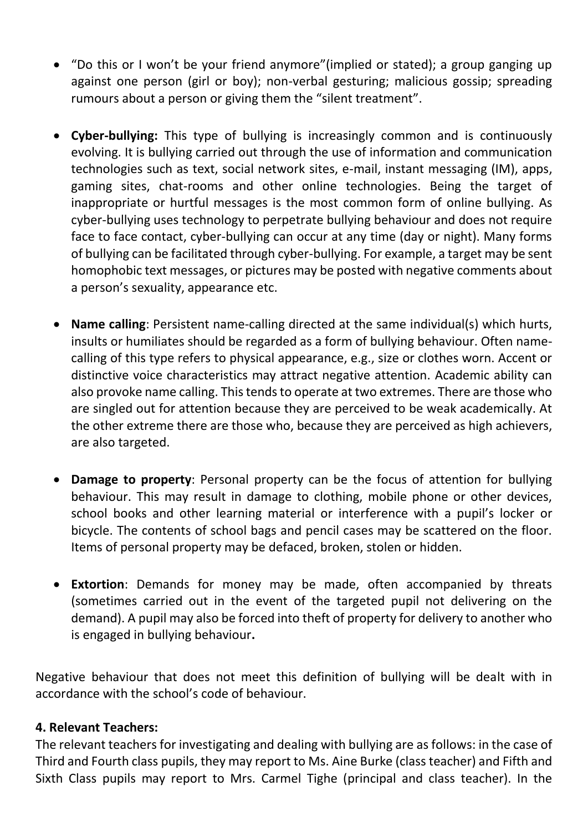- "Do this or I won't be your friend anymore"(implied or stated); a group ganging up against one person (girl or boy); non-verbal gesturing; malicious gossip; spreading rumours about a person or giving them the "silent treatment".
- **Cyber-bullying:** This type of bullying is increasingly common and is continuously evolving. It is bullying carried out through the use of information and communication technologies such as text, social network sites, e-mail, instant messaging (IM), apps, gaming sites, chat-rooms and other online technologies. Being the target of inappropriate or hurtful messages is the most common form of online bullying. As cyber-bullying uses technology to perpetrate bullying behaviour and does not require face to face contact, cyber-bullying can occur at any time (day or night). Many forms of bullying can be facilitated through cyber-bullying. For example, a target may be sent homophobic text messages, or pictures may be posted with negative comments about a person's sexuality, appearance etc.
- **Name calling**: Persistent name-calling directed at the same individual(s) which hurts, insults or humiliates should be regarded as a form of bullying behaviour. Often namecalling of this type refers to physical appearance, e.g., size or clothes worn. Accent or distinctive voice characteristics may attract negative attention. Academic ability can also provoke name calling. This tends to operate at two extremes. There are those who are singled out for attention because they are perceived to be weak academically. At the other extreme there are those who, because they are perceived as high achievers, are also targeted.
- **Damage to property**: Personal property can be the focus of attention for bullying behaviour. This may result in damage to clothing, mobile phone or other devices, school books and other learning material or interference with a pupil's locker or bicycle. The contents of school bags and pencil cases may be scattered on the floor. Items of personal property may be defaced, broken, stolen or hidden.
- **Extortion**: Demands for money may be made, often accompanied by threats (sometimes carried out in the event of the targeted pupil not delivering on the demand). A pupil may also be forced into theft of property for delivery to another who is engaged in bullying behaviour**.**

Negative behaviour that does not meet this definition of bullying will be dealt with in accordance with the school's code of behaviour.

#### **4. Relevant Teachers:**

The relevant teachers for investigating and dealing with bullying are as follows: in the case of Third and Fourth class pupils, they may report to Ms. Aine Burke (class teacher) and Fifth and Sixth Class pupils may report to Mrs. Carmel Tighe (principal and class teacher). In the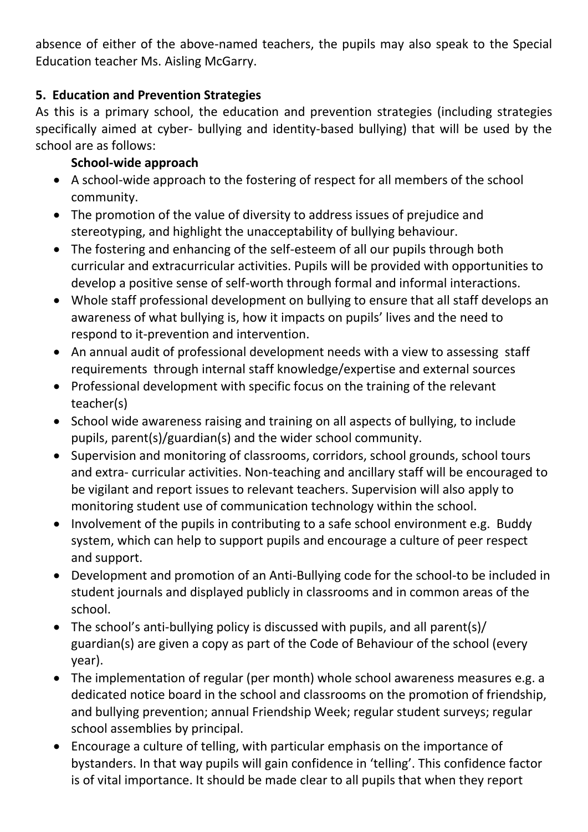absence of either of the above-named teachers, the pupils may also speak to the Special Education teacher Ms. Aisling McGarry.

## **5. Education and Prevention Strategies**

As this is a primary school, the education and prevention strategies (including strategies specifically aimed at cyber- bullying and identity-based bullying) that will be used by the school are as follows:

## **School-wide approach**

- A school-wide approach to the fostering of respect for all members of the school community.
- The promotion of the value of diversity to address issues of prejudice and stereotyping, and highlight the unacceptability of bullying behaviour.
- The fostering and enhancing of the self-esteem of all our pupils through both curricular and extracurricular activities. Pupils will be provided with opportunities to develop a positive sense of self-worth through formal and informal interactions.
- Whole staff professional development on bullying to ensure that all staff develops an awareness of what bullying is, how it impacts on pupils' lives and the need to respond to it-prevention and intervention.
- An annual audit of professional development needs with a view to assessing staff requirements through internal staff knowledge/expertise and external sources
- Professional development with specific focus on the training of the relevant teacher(s)
- School wide awareness raising and training on all aspects of bullying, to include pupils, parent(s)/guardian(s) and the wider school community.
- Supervision and monitoring of classrooms, corridors, school grounds, school tours and extra- curricular activities. Non-teaching and ancillary staff will be encouraged to be vigilant and report issues to relevant teachers. Supervision will also apply to monitoring student use of communication technology within the school.
- Involvement of the pupils in contributing to a safe school environment e.g. Buddy system, which can help to support pupils and encourage a culture of peer respect and support.
- Development and promotion of an Anti-Bullying code for the school-to be included in student journals and displayed publicly in classrooms and in common areas of the school.
- The school's anti-bullying policy is discussed with pupils, and all parent(s)/ guardian(s) are given a copy as part of the Code of Behaviour of the school (every year).
- The implementation of regular (per month) whole school awareness measures e.g. a dedicated notice board in the school and classrooms on the promotion of friendship, and bullying prevention; annual Friendship Week; regular student surveys; regular school assemblies by principal.
- Encourage a culture of telling, with particular emphasis on the importance of bystanders. In that way pupils will gain confidence in 'telling'. This confidence factor is of vital importance. It should be made clear to all pupils that when they report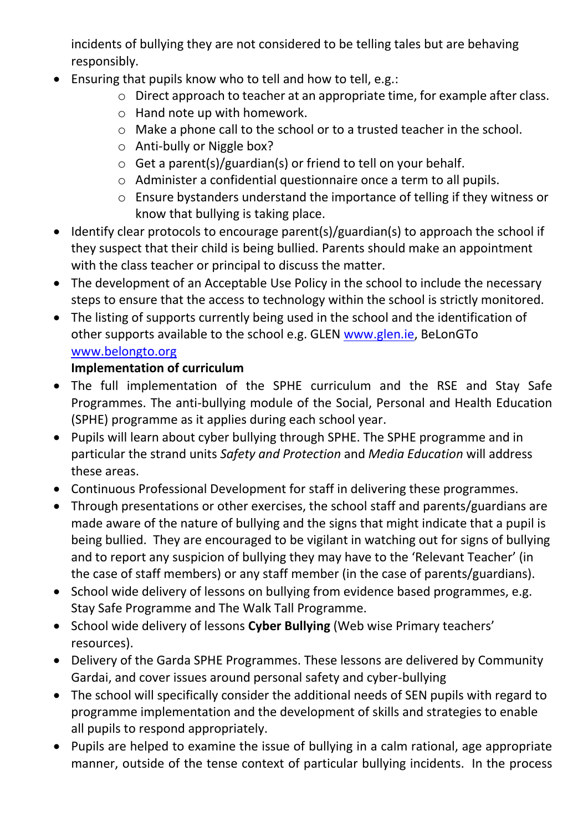incidents of bullying they are not considered to be telling tales but are behaving responsibly.

- Ensuring that pupils know who to tell and how to tell, e.g.:
	- o Direct approach to teacher at an appropriate time, for example after class.
	- o Hand note up with homework.
	- o Make a phone call to the school or to a trusted teacher in the school.
	- o Anti-bully or Niggle box?
	- o Get a parent(s)/guardian(s) or friend to tell on your behalf.
	- o Administer a confidential questionnaire once a term to all pupils.
	- o Ensure bystanders understand the importance of telling if they witness or know that bullying is taking place.
- Identify clear protocols to encourage parent(s)/guardian(s) to approach the school if they suspect that their child is being bullied. Parents should make an appointment with the class teacher or principal to discuss the matter.
- The development of an Acceptable Use Policy in the school to include the necessary steps to ensure that the access to technology within the school is strictly monitored.
- The listing of supports currently being used in the school and the identification of other supports available to the school e.g. GLEN [www.glen.ie,](http://www.glen.ie/) BeLonGTo [www.belongto.org](http://www.belongto.org/)

# **Implementation of curriculum**

- The full implementation of the SPHE curriculum and the RSE and Stay Safe Programmes. The anti-bullying module of the Social, Personal and Health Education (SPHE) programme as it applies during each school year.
- Pupils will learn about cyber bullying through SPHE. The SPHE programme and in particular the strand units *Safety and Protection* and *Media Education* will address these areas.
- Continuous Professional Development for staff in delivering these programmes.
- Through presentations or other exercises, the school staff and parents/guardians are made aware of the nature of bullying and the signs that might indicate that a pupil is being bullied. They are encouraged to be vigilant in watching out for signs of bullying and to report any suspicion of bullying they may have to the 'Relevant Teacher' (in the case of staff members) or any staff member (in the case of parents/guardians).
- School wide delivery of lessons on bullying from evidence based programmes, e.g. Stay Safe Programme and The Walk Tall Programme.
- School wide delivery of lessons **Cyber Bullying** (Web wise Primary teachers' resources).
- Delivery of the Garda SPHE Programmes. These lessons are delivered by Community Gardai, and cover issues around personal safety and cyber-bullying
- The school will specifically consider the additional needs of SEN pupils with regard to programme implementation and the development of skills and strategies to enable all pupils to respond appropriately.
- Pupils are helped to examine the issue of bullying in a calm rational, age appropriate manner, outside of the tense context of particular bullying incidents. In the process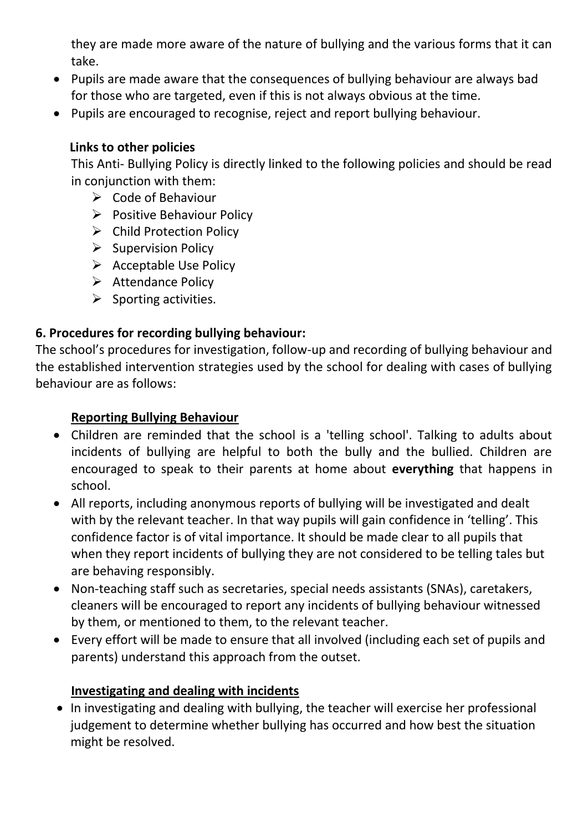they are made more aware of the nature of bullying and the various forms that it can take.

- Pupils are made aware that the consequences of bullying behaviour are always bad for those who are targeted, even if this is not always obvious at the time.
- Pupils are encouraged to recognise, reject and report bullying behaviour.

### **Links to other policies**

This Anti- Bullying Policy is directly linked to the following policies and should be read in conjunction with them:

- ➢ Code of Behaviour
- ➢ Positive Behaviour Policy
- ➢ Child Protection Policy
- ➢ Supervision Policy
- ➢ Acceptable Use Policy
- ➢ Attendance Policy
- $\triangleright$  Sporting activities.

## **6. Procedures for recording bullying behaviour:**

The school's procedures for investigation, follow-up and recording of bullying behaviour and the established intervention strategies used by the school for dealing with cases of bullying behaviour are as follows:

#### **Reporting Bullying Behaviour**

- Children are reminded that the school is a 'telling school'. Talking to adults about incidents of bullying are helpful to both the bully and the bullied. Children are encouraged to speak to their parents at home about **everything** that happens in school.
- All reports, including anonymous reports of bullying will be investigated and dealt with by the relevant teacher. In that way pupils will gain confidence in 'telling'. This confidence factor is of vital importance. It should be made clear to all pupils that when they report incidents of bullying they are not considered to be telling tales but are behaving responsibly.
- Non-teaching staff such as secretaries, special needs assistants (SNAs), caretakers, cleaners will be encouraged to report any incidents of bullying behaviour witnessed by them, or mentioned to them, to the relevant teacher.
- Every effort will be made to ensure that all involved (including each set of pupils and parents) understand this approach from the outset.

## **Investigating and dealing with incidents**

• In investigating and dealing with bullying, the teacher will exercise her professional judgement to determine whether bullying has occurred and how best the situation might be resolved.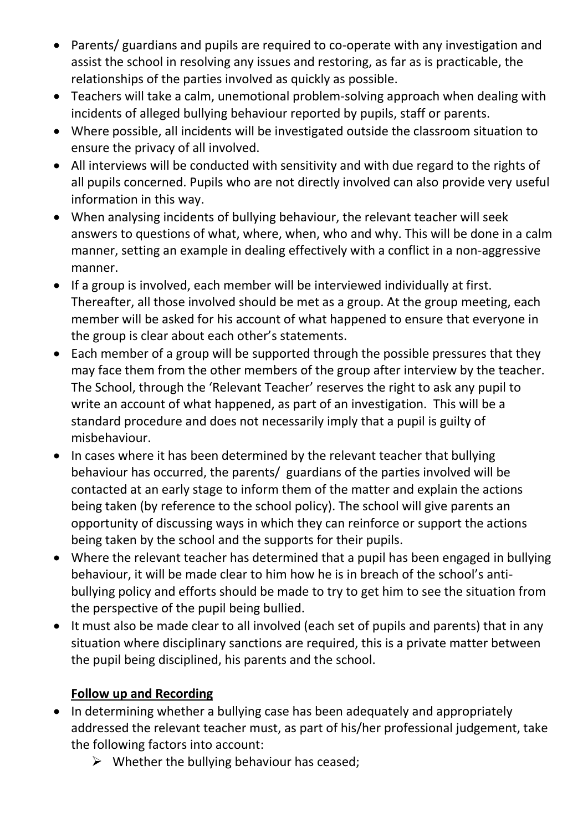- Parents/ guardians and pupils are required to co-operate with any investigation and assist the school in resolving any issues and restoring, as far as is practicable, the relationships of the parties involved as quickly as possible.
- Teachers will take a calm, unemotional problem-solving approach when dealing with incidents of alleged bullying behaviour reported by pupils, staff or parents.
- Where possible, all incidents will be investigated outside the classroom situation to ensure the privacy of all involved.
- All interviews will be conducted with sensitivity and with due regard to the rights of all pupils concerned. Pupils who are not directly involved can also provide very useful information in this way.
- When analysing incidents of bullying behaviour, the relevant teacher will seek answers to questions of what, where, when, who and why. This will be done in a calm manner, setting an example in dealing effectively with a conflict in a non-aggressive manner.
- If a group is involved, each member will be interviewed individually at first. Thereafter, all those involved should be met as a group. At the group meeting, each member will be asked for his account of what happened to ensure that everyone in the group is clear about each other's statements.
- Each member of a group will be supported through the possible pressures that they may face them from the other members of the group after interview by the teacher. The School, through the 'Relevant Teacher' reserves the right to ask any pupil to write an account of what happened, as part of an investigation. This will be a standard procedure and does not necessarily imply that a pupil is guilty of misbehaviour.
- In cases where it has been determined by the relevant teacher that bullying behaviour has occurred, the parents/ guardians of the parties involved will be contacted at an early stage to inform them of the matter and explain the actions being taken (by reference to the school policy). The school will give parents an opportunity of discussing ways in which they can reinforce or support the actions being taken by the school and the supports for their pupils.
- Where the relevant teacher has determined that a pupil has been engaged in bullying behaviour, it will be made clear to him how he is in breach of the school's antibullying policy and efforts should be made to try to get him to see the situation from the perspective of the pupil being bullied.
- It must also be made clear to all involved (each set of pupils and parents) that in any situation where disciplinary sanctions are required, this is a private matter between the pupil being disciplined, his parents and the school.

## **Follow up and Recording**

- In determining whether a bullying case has been adequately and appropriately addressed the relevant teacher must, as part of his/her professional judgement, take the following factors into account:
	- $\triangleright$  Whether the bullying behaviour has ceased;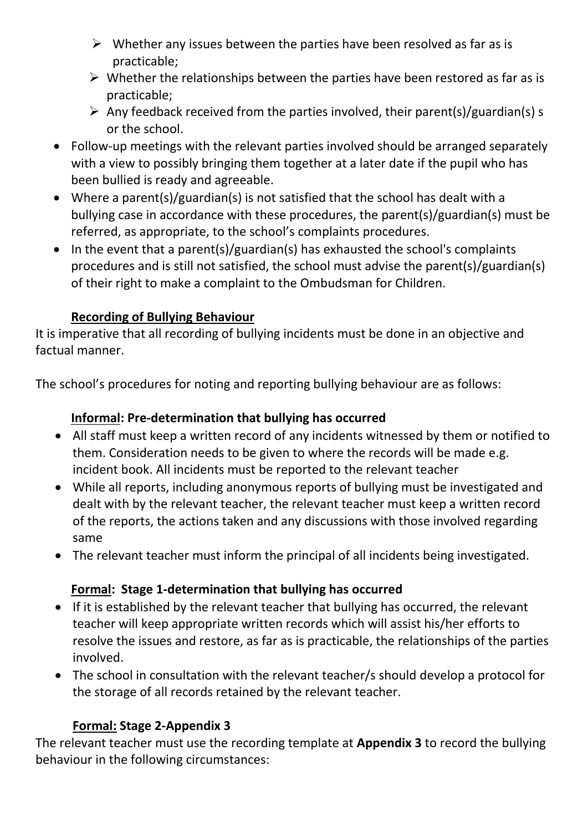- $\triangleright$  Whether any issues between the parties have been resolved as far as is practicable;
- $\triangleright$  Whether the relationships between the parties have been restored as far as is practicable;
- $\triangleright$  Any feedback received from the parties involved, their parent(s)/guardian(s) s or the school.
- Follow-up meetings with the relevant parties involved should be arranged separately with a view to possibly bringing them together at a later date if the pupil who has been bullied is ready and agreeable.
- Where a parent(s)/guardian(s) is not satisfied that the school has dealt with a bullying case in accordance with these procedures, the parent(s)/guardian(s) must be referred, as appropriate, to the school's complaints procedures.
- In the event that a parent(s)/guardian(s) has exhausted the school's complaints procedures and is still not satisfied, the school must advise the parent(s)/guardian(s) of their right to make a complaint to the Ombudsman for Children.

# **Recording of Bullying Behaviour**

It is imperative that all recording of bullying incidents must be done in an objective and factual manner.

The school's procedures for noting and reporting bullying behaviour are as follows:

## **Informal: Pre-determination that bullying has occurred**

- All staff must keep a written record of any incidents witnessed by them or notified to them. Consideration needs to be given to where the records will be made e.g. incident book. All incidents must be reported to the relevant teacher
- While all reports, including anonymous reports of bullying must be investigated and dealt with by the relevant teacher, the relevant teacher must keep a written record of the reports, the actions taken and any discussions with those involved regarding same
- The relevant teacher must inform the principal of all incidents being investigated.

## **Formal: Stage 1-determination that bullying has occurred**

- If it is established by the relevant teacher that bullying has occurred, the relevant teacher will keep appropriate written records which will assist his/her efforts to resolve the issues and restore, as far as is practicable, the relationships of the parties involved.
- The school in consultation with the relevant teacher/s should develop a protocol for the storage of all records retained by the relevant teacher.

## **Formal: Stage 2-Appendix 3**

The relevant teacher must use the recording template at **Appendix 3** to record the bullying behaviour in the following circumstances: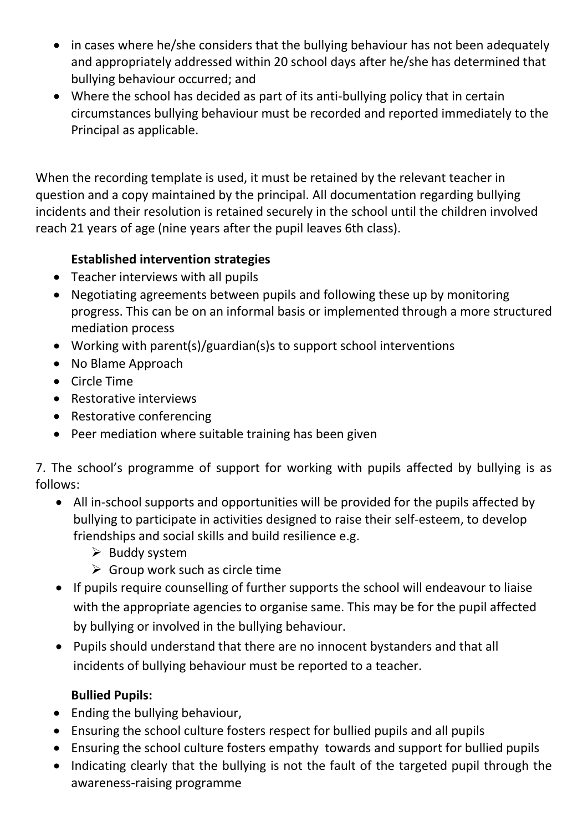- in cases where he/she considers that the bullying behaviour has not been adequately and appropriately addressed within 20 school days after he/she has determined that bullying behaviour occurred; and
- Where the school has decided as part of its anti-bullying policy that in certain circumstances bullying behaviour must be recorded and reported immediately to the Principal as applicable.

When the recording template is used, it must be retained by the relevant teacher in question and a copy maintained by the principal. All documentation regarding bullying incidents and their resolution is retained securely in the school until the children involved reach 21 years of age (nine years after the pupil leaves 6th class).

## **Established intervention strategies**

- Teacher interviews with all pupils
- Negotiating agreements between pupils and following these up by monitoring progress. This can be on an informal basis or implemented through a more structured mediation process
- Working with parent(s)/guardian(s)s to support school interventions
- No Blame Approach
- Circle Time
- Restorative interviews
- Restorative conferencing
- Peer mediation where suitable training has been given

7. The school's programme of support for working with pupils affected by bullying is as follows:

- All in-school supports and opportunities will be provided for the pupils affected by bullying to participate in activities designed to raise their self-esteem, to develop friendships and social skills and build resilience e.g.
	- $\triangleright$  Buddy system
	- $\triangleright$  Group work such as circle time
- If pupils require counselling of further supports the school will endeavour to liaise with the appropriate agencies to organise same. This may be for the pupil affected by bullying or involved in the bullying behaviour.
- Pupils should understand that there are no innocent bystanders and that all incidents of bullying behaviour must be reported to a teacher.

#### **Bullied Pupils:**

- Ending the bullying behaviour,
- Ensuring the school culture fosters respect for bullied pupils and all pupils
- Ensuring the school culture fosters empathy towards and support for bullied pupils
- Indicating clearly that the bullying is not the fault of the targeted pupil through the awareness-raising programme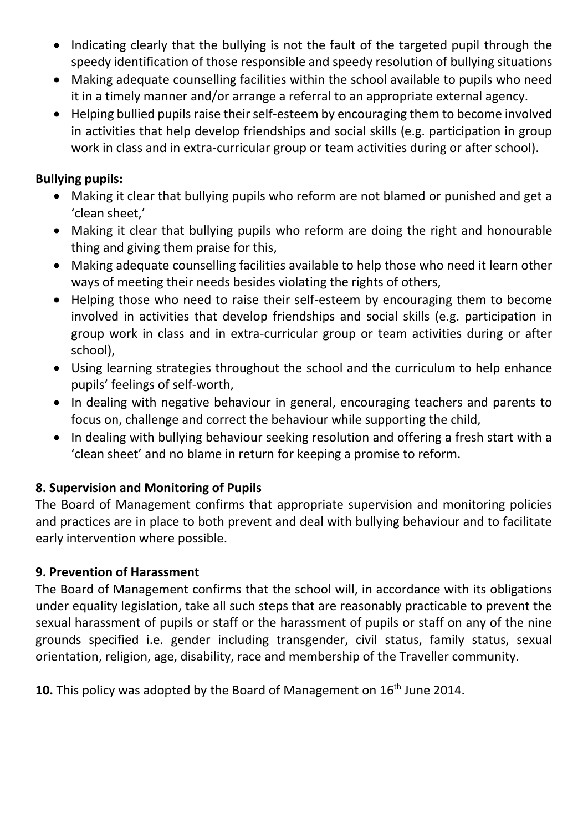- Indicating clearly that the bullying is not the fault of the targeted pupil through the speedy identification of those responsible and speedy resolution of bullying situations
- Making adequate counselling facilities within the school available to pupils who need it in a timely manner and/or arrange a referral to an appropriate external agency.
- Helping bullied pupils raise their self-esteem by encouraging them to become involved in activities that help develop friendships and social skills (e.g. participation in group work in class and in extra-curricular group or team activities during or after school).

### **Bullying pupils:**

- Making it clear that bullying pupils who reform are not blamed or punished and get a 'clean sheet,'
- Making it clear that bullying pupils who reform are doing the right and honourable thing and giving them praise for this,
- Making adequate counselling facilities available to help those who need it learn other ways of meeting their needs besides violating the rights of others,
- Helping those who need to raise their self-esteem by encouraging them to become involved in activities that develop friendships and social skills (e.g. participation in group work in class and in extra-curricular group or team activities during or after school),
- Using learning strategies throughout the school and the curriculum to help enhance pupils' feelings of self-worth,
- In dealing with negative behaviour in general, encouraging teachers and parents to focus on, challenge and correct the behaviour while supporting the child,
- In dealing with bullying behaviour seeking resolution and offering a fresh start with a 'clean sheet' and no blame in return for keeping a promise to reform.

## **8. Supervision and Monitoring of Pupils**

The Board of Management confirms that appropriate supervision and monitoring policies and practices are in place to both prevent and deal with bullying behaviour and to facilitate early intervention where possible.

#### **9. Prevention of Harassment**

The Board of Management confirms that the school will, in accordance with its obligations under equality legislation, take all such steps that are reasonably practicable to prevent the sexual harassment of pupils or staff or the harassment of pupils or staff on any of the nine grounds specified i.e. gender including transgender, civil status, family status, sexual orientation, religion, age, disability, race and membership of the Traveller community.

**10.** This policy was adopted by the Board of Management on 16<sup>th</sup> June 2014.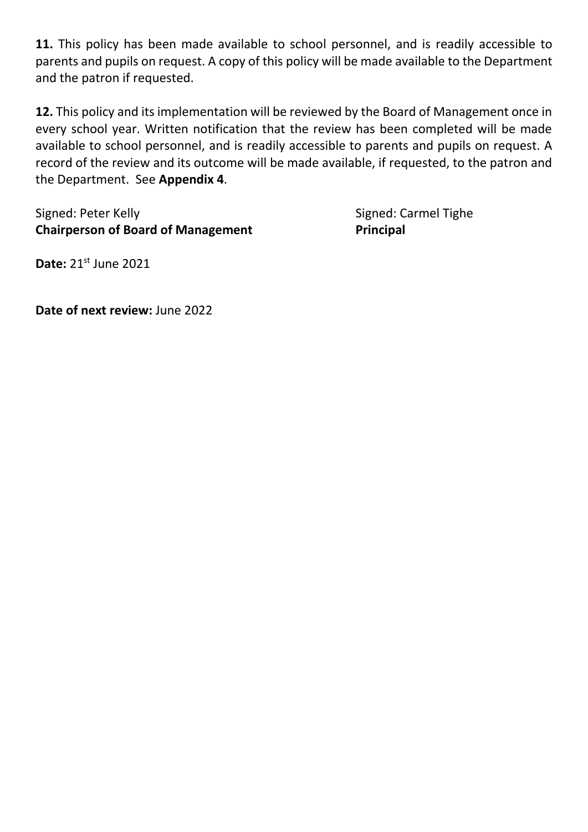**11.** This policy has been made available to school personnel, and is readily accessible to parents and pupils on request. A copy of this policy will be made available to the Department and the patron if requested.

**12.** This policy and its implementation will be reviewed by the Board of Management once in every school year. Written notification that the review has been completed will be made available to school personnel, and is readily accessible to parents and pupils on request. A record of the review and its outcome will be made available, if requested, to the patron and the Department. See **Appendix 4**.

Signed: Peter Kelly **Signed: Peter Kelly** Signed: Carmel Tighe **Chairperson of Board of Management Principal** 

**Date:** 21st June 2021

**Date of next review:** June 2022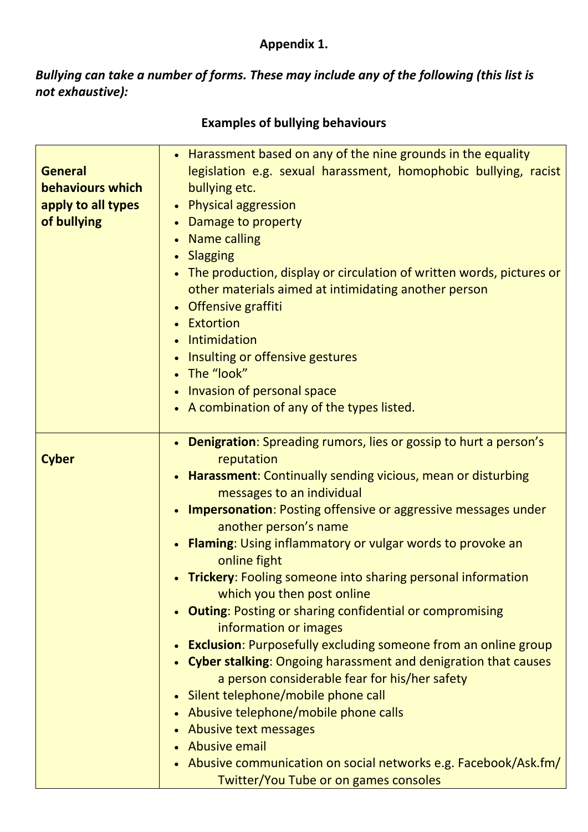# **Appendix 1.**

*Bullying can take a number of forms. These may include any of the following (this list is not exhaustive):*

| <b>General</b><br>behaviours which<br>apply to all types<br>of bullying | • Harassment based on any of the nine grounds in the equality<br>legislation e.g. sexual harassment, homophobic bullying, racist<br>bullying etc.<br>• Physical aggression<br>Damage to property<br><b>Name calling</b><br>$\bullet$<br><b>Slagging</b><br>The production, display or circulation of written words, pictures or<br>other materials aimed at intimidating another person<br>Offensive graffiti<br>Extortion<br>Intimidation<br>Insulting or offensive gestures<br>The "look"<br>Invasion of personal space<br>• A combination of any of the types listed.                                                                                                                                                                                                                                                                                                                                                                                                                                   |
|-------------------------------------------------------------------------|------------------------------------------------------------------------------------------------------------------------------------------------------------------------------------------------------------------------------------------------------------------------------------------------------------------------------------------------------------------------------------------------------------------------------------------------------------------------------------------------------------------------------------------------------------------------------------------------------------------------------------------------------------------------------------------------------------------------------------------------------------------------------------------------------------------------------------------------------------------------------------------------------------------------------------------------------------------------------------------------------------|
| <b>Cyber</b>                                                            | • Denigration: Spreading rumors, lies or gossip to hurt a person's<br>reputation<br>• Harassment: Continually sending vicious, mean or disturbing<br>messages to an individual<br>Impersonation: Posting offensive or aggressive messages under<br>another person's name<br><b>Flaming:</b> Using inflammatory or vulgar words to provoke an<br>online fight<br>• Trickery: Fooling someone into sharing personal information<br>which you then post online<br><b>Outing: Posting or sharing confidential or compromising</b><br>information or images<br><b>Exclusion:</b> Purposefully excluding someone from an online group<br><b>Cyber stalking:</b> Ongoing harassment and denigration that causes<br>a person considerable fear for his/her safety<br>Silent telephone/mobile phone call<br>Abusive telephone/mobile phone calls<br>Abusive text messages<br><b>Abusive email</b><br>Abusive communication on social networks e.g. Facebook/Ask.fm/<br><b>Twitter/You Tube or on games consoles</b> |

# **Examples of bullying behaviours**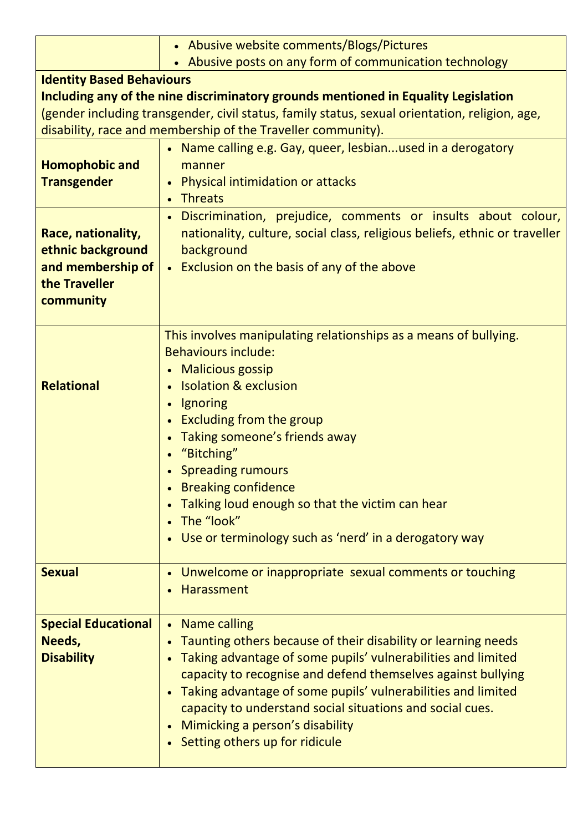|                                                                                                                                                                                                                                                                                          | • Abusive website comments/Blogs/Pictures                                                                                                                                                                                                                                                                                                                                                                                           |  |
|------------------------------------------------------------------------------------------------------------------------------------------------------------------------------------------------------------------------------------------------------------------------------------------|-------------------------------------------------------------------------------------------------------------------------------------------------------------------------------------------------------------------------------------------------------------------------------------------------------------------------------------------------------------------------------------------------------------------------------------|--|
|                                                                                                                                                                                                                                                                                          | • Abusive posts on any form of communication technology                                                                                                                                                                                                                                                                                                                                                                             |  |
| <b>Identity Based Behaviours</b><br>Including any of the nine discriminatory grounds mentioned in Equality Legislation<br>(gender including transgender, civil status, family status, sexual orientation, religion, age,<br>disability, race and membership of the Traveller community). |                                                                                                                                                                                                                                                                                                                                                                                                                                     |  |
| <b>Homophobic and</b><br><b>Transgender</b>                                                                                                                                                                                                                                              | • Name calling e.g. Gay, queer, lesbianused in a derogatory<br>manner<br><b>Physical intimidation or attacks</b><br><b>Threats</b>                                                                                                                                                                                                                                                                                                  |  |
| Race, nationality,<br>ethnic background<br>and membership of<br>the Traveller<br>community                                                                                                                                                                                               | · Discrimination, prejudice, comments or insults about colour,<br>nationality, culture, social class, religious beliefs, ethnic or traveller<br>background<br>• Exclusion on the basis of any of the above                                                                                                                                                                                                                          |  |
| <b>Relational</b>                                                                                                                                                                                                                                                                        | This involves manipulating relationships as a means of bullying.<br><b>Behaviours include:</b><br>• Malicious gossip<br>• Isolation & exclusion<br>Ignoring<br><b>Excluding from the group</b><br>Taking someone's friends away<br>"Bitching"<br><b>Spreading rumours</b><br><b>Breaking confidence</b><br>Talking loud enough so that the victim can hear<br>The "look"<br>• Use or terminology such as 'nerd' in a derogatory way |  |
| <b>Sexual</b>                                                                                                                                                                                                                                                                            | Unwelcome or inappropriate sexual comments or touching<br>$\bullet$<br><b>Harassment</b>                                                                                                                                                                                                                                                                                                                                            |  |
| <b>Special Educational</b><br>Needs,<br><b>Disability</b>                                                                                                                                                                                                                                | • Name calling<br>Taunting others because of their disability or learning needs<br>$\bullet$<br>Taking advantage of some pupils' vulnerabilities and limited<br>capacity to recognise and defend themselves against bullying<br>Taking advantage of some pupils' vulnerabilities and limited<br>capacity to understand social situations and social cues.<br>Mimicking a person's disability<br>• Setting others up for ridicule    |  |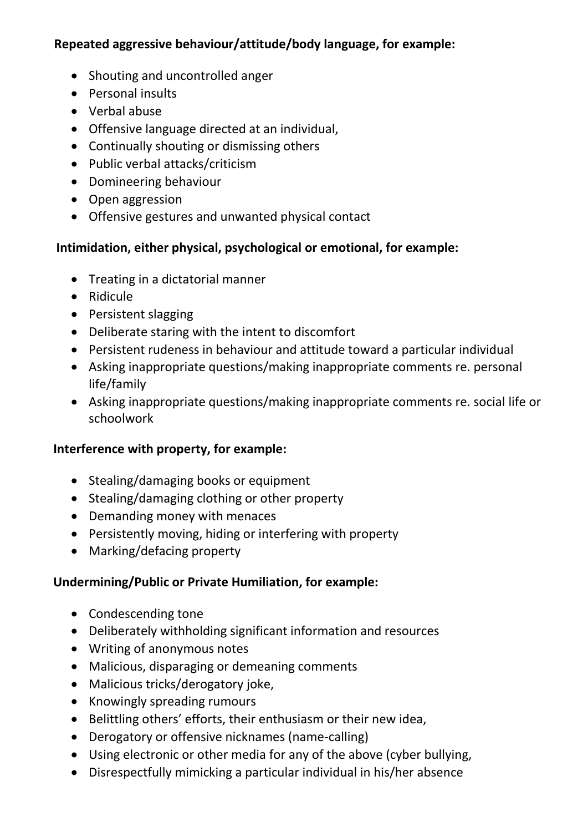#### **Repeated aggressive behaviour/attitude/body language, for example:**

- Shouting and uncontrolled anger
- Personal insults
- Verbal abuse
- Offensive language directed at an individual,
- Continually shouting or dismissing others
- Public verbal attacks/criticism
- Domineering behaviour
- Open aggression
- Offensive gestures and unwanted physical contact

#### **Intimidation, either physical, psychological or emotional, for example:**

- Treating in a dictatorial manner
- Ridicule
- Persistent slagging
- Deliberate staring with the intent to discomfort
- Persistent rudeness in behaviour and attitude toward a particular individual
- Asking inappropriate questions/making inappropriate comments re. personal life/family
- Asking inappropriate questions/making inappropriate comments re. social life or schoolwork

#### **Interference with property, for example:**

- Stealing/damaging books or equipment
- Stealing/damaging clothing or other property
- Demanding money with menaces
- Persistently moving, hiding or interfering with property
- Marking/defacing property

#### **Undermining/Public or Private Humiliation, for example:**

- Condescending tone
- Deliberately withholding significant information and resources
- Writing of anonymous notes
- Malicious, disparaging or demeaning comments
- Malicious tricks/derogatory joke,
- Knowingly spreading rumours
- Belittling others' efforts, their enthusiasm or their new idea,
- Derogatory or offensive nicknames (name-calling)
- Using electronic or other media for any of the above (cyber bullying,
- Disrespectfully mimicking a particular individual in his/her absence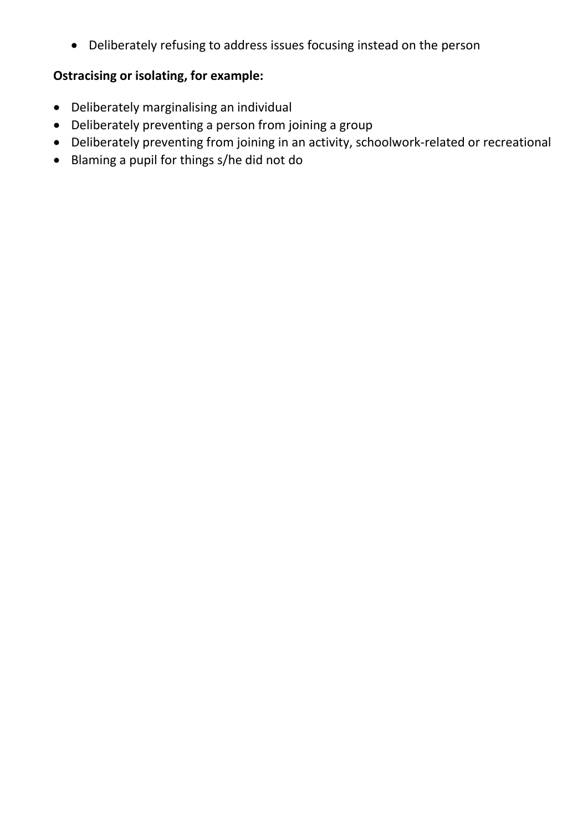• Deliberately refusing to address issues focusing instead on the person

## **Ostracising or isolating, for example:**

- Deliberately marginalising an individual
- Deliberately preventing a person from joining a group
- Deliberately preventing from joining in an activity, schoolwork-related or recreational
- Blaming a pupil for things s/he did not do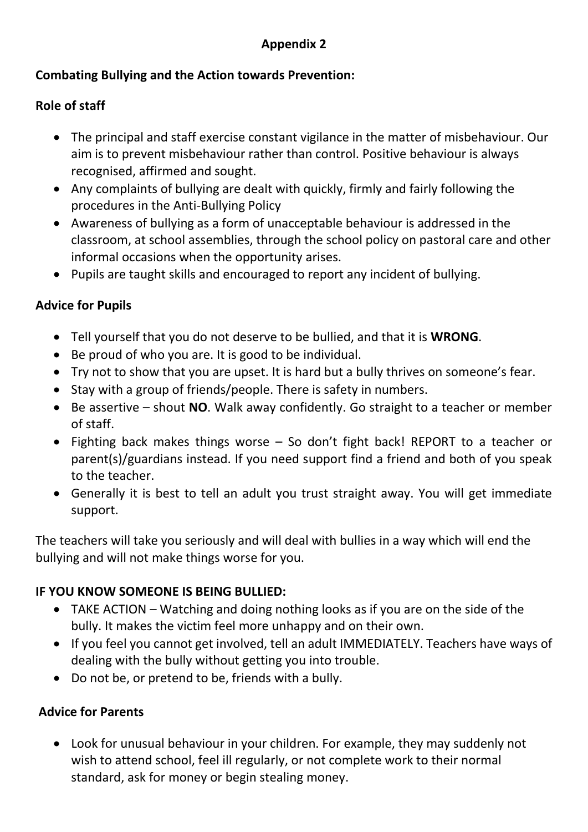## **Appendix 2**

#### **Combating Bullying and the Action towards Prevention:**

#### **Role of staff**

- The principal and staff exercise constant vigilance in the matter of misbehaviour. Our aim is to prevent misbehaviour rather than control. Positive behaviour is always recognised, affirmed and sought.
- Any complaints of bullying are dealt with quickly, firmly and fairly following the procedures in the Anti-Bullying Policy
- Awareness of bullying as a form of unacceptable behaviour is addressed in the classroom, at school assemblies, through the school policy on pastoral care and other informal occasions when the opportunity arises.
- Pupils are taught skills and encouraged to report any incident of bullying.

#### **Advice for Pupils**

- Tell yourself that you do not deserve to be bullied, and that it is **WRONG**.
- Be proud of who you are. It is good to be individual.
- Try not to show that you are upset. It is hard but a bully thrives on someone's fear.
- Stay with a group of friends/people. There is safety in numbers.
- Be assertive shout **NO**. Walk away confidently. Go straight to a teacher or member of staff.
- Fighting back makes things worse So don't fight back! REPORT to a teacher or parent(s)/guardians instead. If you need support find a friend and both of you speak to the teacher.
- Generally it is best to tell an adult you trust straight away. You will get immediate support.

The teachers will take you seriously and will deal with bullies in a way which will end the bullying and will not make things worse for you.

#### **IF YOU KNOW SOMEONE IS BEING BULLIED:**

- TAKE ACTION Watching and doing nothing looks as if you are on the side of the bully. It makes the victim feel more unhappy and on their own.
- If you feel you cannot get involved, tell an adult IMMEDIATELY. Teachers have ways of dealing with the bully without getting you into trouble.
- Do not be, or pretend to be, friends with a bully.

#### **Advice for Parents**

• Look for unusual behaviour in your children. For example, they may suddenly not wish to attend school, feel ill regularly, or not complete work to their normal standard, ask for money or begin stealing money.